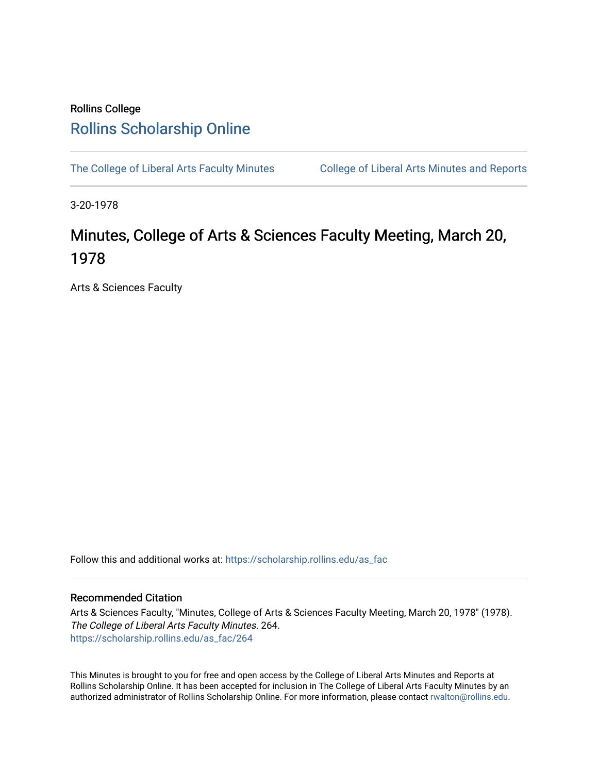## Rollins College [Rollins Scholarship Online](https://scholarship.rollins.edu/)

[The College of Liberal Arts Faculty Minutes](https://scholarship.rollins.edu/as_fac) College of Liberal Arts Minutes and Reports

3-20-1978

## Minutes, College of Arts & Sciences Faculty Meeting, March 20, 1978

Arts & Sciences Faculty

Follow this and additional works at: [https://scholarship.rollins.edu/as\\_fac](https://scholarship.rollins.edu/as_fac?utm_source=scholarship.rollins.edu%2Fas_fac%2F264&utm_medium=PDF&utm_campaign=PDFCoverPages) 

## Recommended Citation

Arts & Sciences Faculty, "Minutes, College of Arts & Sciences Faculty Meeting, March 20, 1978" (1978). The College of Liberal Arts Faculty Minutes. 264. [https://scholarship.rollins.edu/as\\_fac/264](https://scholarship.rollins.edu/as_fac/264?utm_source=scholarship.rollins.edu%2Fas_fac%2F264&utm_medium=PDF&utm_campaign=PDFCoverPages) 

This Minutes is brought to you for free and open access by the College of Liberal Arts Minutes and Reports at Rollins Scholarship Online. It has been accepted for inclusion in The College of Liberal Arts Faculty Minutes by an authorized administrator of Rollins Scholarship Online. For more information, please contact [rwalton@rollins.edu](mailto:rwalton@rollins.edu).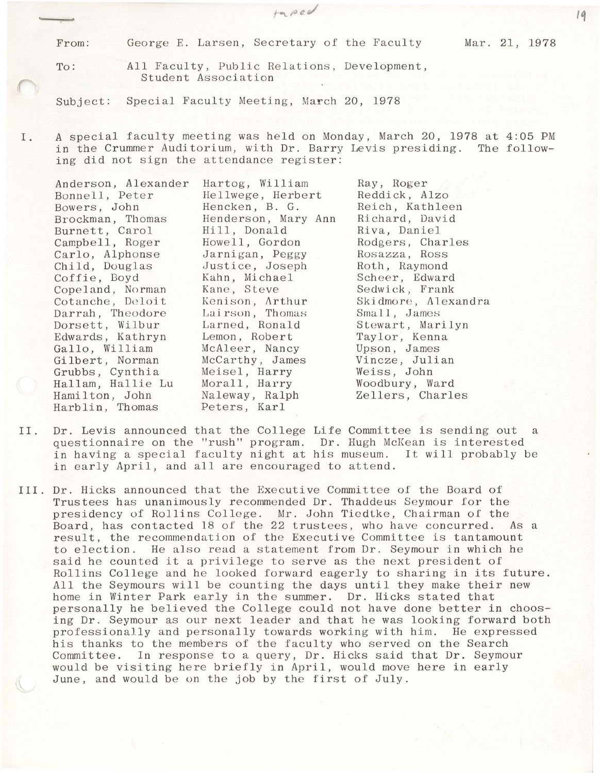From: George E. Larsen, Secretary of the Faculty Mar. 21, 1978

To: All Faculty, Public Relations, Development, Student Association

Subject: Special Faculty Meeting, March 20, 1978

I. A special faculty meeting was held on Monday, March 20, 1978 at 4:05 PM in the Crummer Auditorium, with Dr. Barry Levis presiding. The following did not sign the attendance register:

Anderson, Alexander Bonnell, Peter Bowers, John Brockman, Thomas Burnett, Carol Campbell, Roger Carlo, Alphonse Child, Douglas Coffie, Boyd Cope land, Norman Cotanche, Deloit Darrah, Theodore Dorsett, Wilbur Edwards, Kathryn Gallo, William Gilbert, Norman Grubbs, Cynthia Hallam, Hallie Lu Hamilton, John Harblin, Thomas Hartog, William Hellwege, Herbert Hencken, B. G. Henderson, Mary Ann Hill, Donald Howell, Gordon Jarnigan, Peggy Justice, Joseph Kahn, Michael Kane, Steve Kenison, Arthur Lairson, Thomas Larned, Ronald Lemon, Robert McAleer, Nancy McCarthy, James Meisel, Harry Morall, Harry Naleway, Ralph Ray, Roger Reddick, Alzo Reich, Kathleen Richard, David Riva, Daniel Rodgers, Charles Rosazza, Ross Roth, Raymond Scheer, Edward Sedwick, Frank Skidmore, Alexandra Small, James Stewart, Marilyn Taylor, Kenna Upson, James Vincze, Julian Weiss, John Woodbury, Ward Zellers, Charles

Peters, Karl

- II. Dr. Levis announced that the College Life Committee is sending out a questionnaire on the "rush" program. Dr. Hugh McKean is interested<br>in having a special faculty night at his museum. It will probably be in having a special faculty night at his museum. in early April, and all are encouraged to attend.
- III. Dr. Hicks announced that the Executive Committee of the Board of Trustees has unanimously recommended Dr. Thaddeus Seymour for the presidency of Rollins College. Mr. John Tiedtke, Chairman of the Board, has contacted 18 of the 22 trustees, who have concurred. As a result, the recommendation of the Executive Committee is tantamount to election. He also read a statement from Dr. Seymour in which he said he counted it a privilege to serve as the next president of Rollins College and he looked forward eagerly to sharing in its future. All the Seymours will be counting the days until they make their new home in Winter Park early in the summer. Dr. Hicks stated that personally he believed the College could not have done better in choosing Dr. Seymour as our next leader and that he was looking forward both professionally and personally towards working with him. He expressed his thanks to the members of the faculty who served on the Search Committee. In response to a query, Dr. Hicks said that Dr. Seymour would be visiting here briefly in April, would move here in early June, and would be on the job by the first of July.